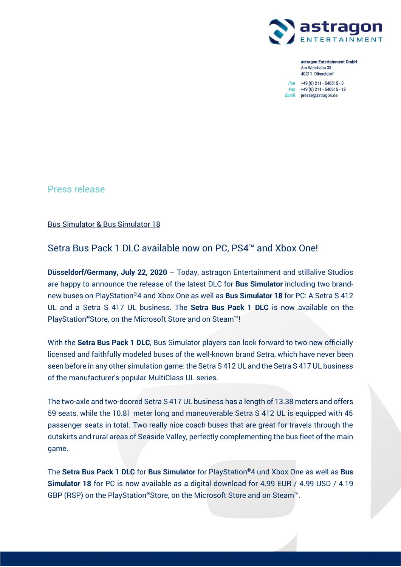

astragon Entertainment GmbH Am Wehrhahn 33 40211 Düsseldorf

 $Fon +49(0) 211 - 540515 - 0$ Fax +49 (0) 211 - 540515 - 18 Email presse@astragon.de

Press release

Bus Simulator & Bus Simulator 18

Setra Bus Pack 1 DLC available now on PC, PS4™ and Xbox One!

**Düsseldorf/Germany, July 22, 2020** – Today, astragon Entertainment and stillalive Studios are happy to announce the release of the latest DLC for **Bus Simulator** including two brandnew buses on PlayStation®4 and Xbox One as well as **Bus Simulator 18** for PC: A Setra S 412 UL and a Setra S 417 UL business. The **Setra Bus Pack 1 DLC** is now available on the PlayStation®Store, on the Microsoft Store and on Steam™!

With the **Setra Bus Pack 1 DLC**, Bus Simulator players can look forward to two new officially licensed and faithfully modeled buses of the well-known brand Setra, which have never been seen before in any other simulation game: the Setra S 412 UL and the Setra S 417 UL business of the manufacturer's popular MultiClass UL series.

The two-axle and two-doored Setra S 417 UL business has a length of 13.38 meters and offers 59 seats, while the 10.81 meter long and maneuverable Setra S 412 UL is equipped with 45 passenger seats in total. Two really nice coach buses that are great for travels through the outskirts and rural areas of Seaside Valley, perfectly complementing the bus fleet of the main game.

The **Setra Bus Pack 1 DLC** for **Bus Simulator** for PlayStation®4 und Xbox One as well as **Bus Simulator 18** for PC is now available as a digital download for 4.99 EUR / 4.99 USD / 4.19 GBP (RSP) on the PlayStation®Store, on the Microsoft Store and on Steam™.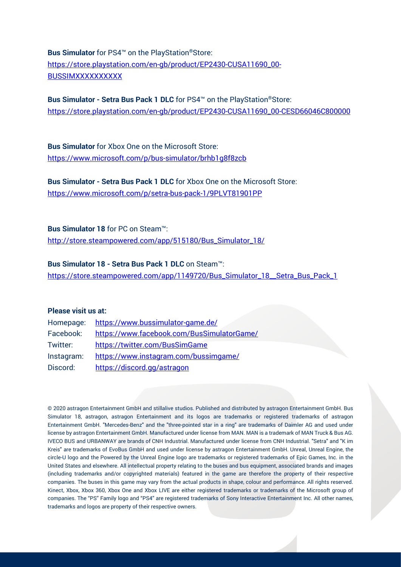**Bus Simulator** for PS4™ on the PlayStation®Store: [https://store.playstation.com/en-gb/product/EP2430-CUSA11690\\_00-](https://store.playstation.com/en-gb/product/EP2430-CUSA11690_00-BUSSIMXXXXXXXXXX) **BUSSIMXXXXXXXXX** 

**Bus Simulator - Setra Bus Pack 1 DLC** for PS4™ on the PlayStation®Store: [https://store.playstation.com/en-gb/product/EP2430-CUSA11690\\_00-CESD66046C800000](https://store.playstation.com/en-gb/product/EP2430-CUSA11690_00-CESD66046C800000)

**Bus Simulator** for Xbox One on the Microsoft Store: <https://www.microsoft.com/p/bus-simulator/brhb1g8f8zcb>

**Bus Simulator - Setra Bus Pack 1 DLC** for Xbox One on the Microsoft Store: <https://www.microsoft.com/p/setra-bus-pack-1/9PLVT81901PP>

**Bus Simulator 18** for PC on Steam™:

[http://store.steampowered.com/app/515180/Bus\\_Simulator\\_18/](http://store.steampowered.com/app/515180/Bus_Simulator_18/)

**Bus Simulator 18 - Setra Bus Pack 1 DLC** on Steam™:

[https://store.steampowered.com/app/1149720/Bus\\_Simulator\\_18\\_\\_Setra\\_Bus\\_Pack\\_1](https://store.steampowered.com/app/1149720/Bus_Simulator_18__Setra_Bus_Pack_1)

## **Please visit us at:**

| Homepage:  | https://www.bussimulator-game.de/          |
|------------|--------------------------------------------|
| Facebook:  | https://www.facebook.com/BusSimulatorGame/ |
| Twitter:   | https://twitter.com/BusSimGame             |
| Instagram: | https://www.instagram.com/bussimgame/      |
| Discord:   | https://discord.gg/astragon                |

© 2020 astragon Entertainment GmbH and stillalive studios. Published and distributed by astragon Entertainment GmbH. Bus Simulator 18, astragon, astragon Entertainment and its logos are trademarks or registered trademarks of astragon Entertainment GmbH. "Mercedes-Benz" and the "three-pointed star in a ring" are trademarks of Daimler AG and used under license by astragon Entertainment GmbH. Manufactured under license from MAN. MAN is a trademark of MAN Truck & Bus AG. IVECO BUS and URBANWAY are brands of CNH Industrial. Manufactured under license from CNH Industrial. "Setra" and "K im Kreis" are trademarks of EvoBus GmbH and used under license by astragon Entertainment GmbH. Unreal, Unreal Engine, the circle-U logo and the Powered by the Unreal Engine logo are trademarks or registered trademarks of Epic Games, Inc. in the United States and elsewhere. All intellectual property relating to the buses and bus equipment, associated brands and images (including trademarks and/or copyrighted materials) featured in the game are therefore the property of their respective companies. The buses in this game may vary from the actual products in shape, colour and performance. All rights reserved. Kinect, Xbox, Xbox 360, Xbox One and Xbox LIVE are either registered trademarks or trademarks of the Microsoft group of companies. The "PS" Family logo and "PS4" are registered trademarks of Sony Interactive Entertainment Inc. All other names, trademarks and logos are property of their respective owners.